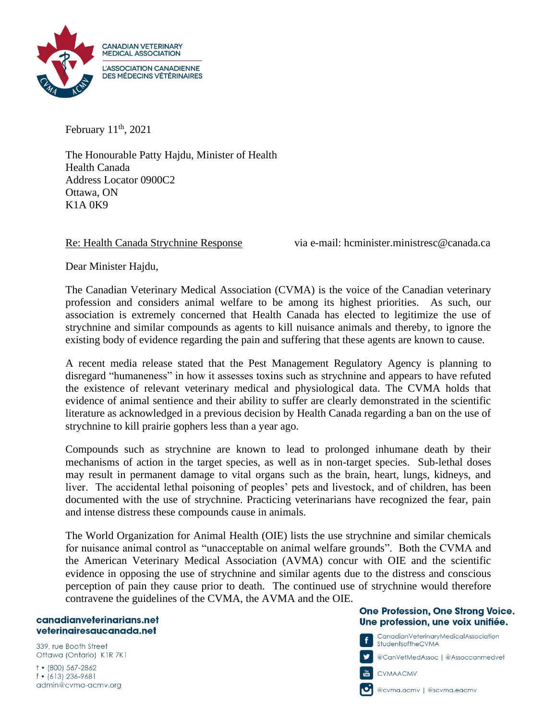

February  $11<sup>th</sup>$ , 2021

The Honourable Patty Hajdu, Minister of Health Health Canada Address Locator 0900C2 Ottawa, ON K1A 0K9

Re: Health Canada Strychnine Response via e-mail: hcminister.ministresc@canada.ca

Dear Minister Hajdu,

The Canadian Veterinary Medical Association (CVMA) is the voice of the Canadian veterinary profession and considers animal welfare to be among its highest priorities. As such, our association is extremely concerned that Health Canada has elected to legitimize the use of strychnine and similar compounds as agents to kill nuisance animals and thereby, to ignore the existing body of evidence regarding the pain and suffering that these agents are known to cause.

A recent media release stated that the Pest Management Regulatory Agency is planning to disregard "humaneness" in how it assesses toxins such as strychnine and appears to have refuted the existence of relevant veterinary medical and physiological data. The CVMA holds that evidence of animal sentience and their ability to suffer are clearly demonstrated in the scientific literature as acknowledged in a previous decision by Health Canada regarding a ban on the use of strychnine to kill prairie gophers less than a year ago.

Compounds such as strychnine are known to lead to prolonged inhumane death by their mechanisms of action in the target species, as well as in non-target species. Sub-lethal doses may result in permanent damage to vital organs such as the brain, heart, lungs, kidneys, and liver. The accidental lethal poisoning of peoples' pets and livestock, and of children, has been documented with the use of strychnine. Practicing veterinarians have recognized the fear, pain and intense distress these compounds cause in animals.

The World Organization for Animal Health (OIE) lists the use strychnine and similar chemicals for nuisance animal control as "unacceptable on animal welfare grounds". Both the CVMA and the American Veterinary Medical Association (AVMA) concur with OIE and the scientific evidence in opposing the use of strychnine and similar agents due to the distress and conscious perception of pain they cause prior to death. The continued use of strychnine would therefore contravene the guidelines of the CVMA, the AVMA and the OIE.

## canadianveterinarians.net veterinairesaucanada.net

339, rue Booth Street Ottawa (Ontario) K1R 7K1  $+$  (800) 567-2862

f • (613) 236-9681 admin@cvma-acmv.org

## One Profession, One Strong Voice. Une profession, une voix unifiée.